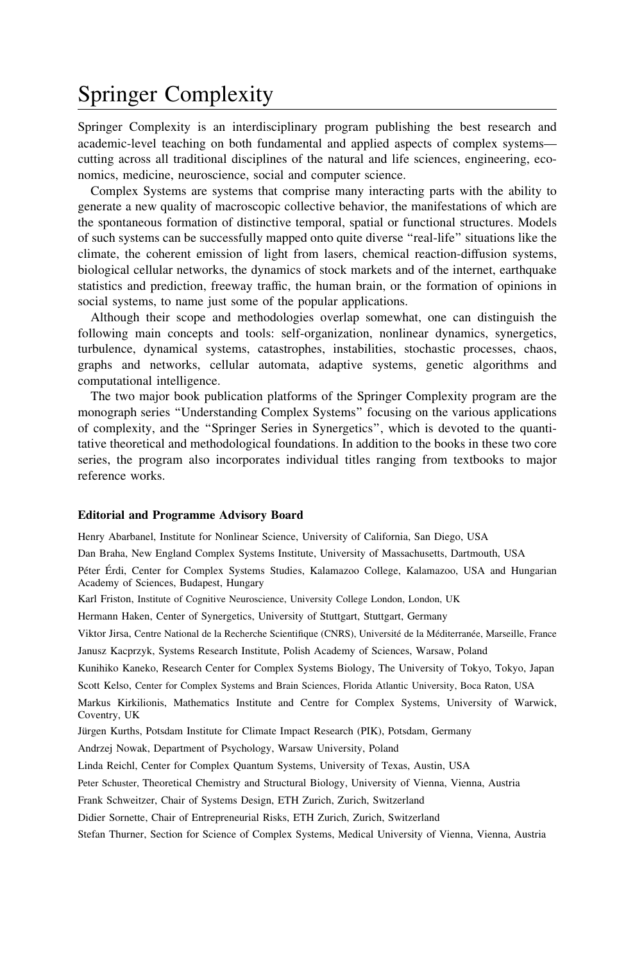## Springer Complexity

Springer Complexity is an interdisciplinary program publishing the best research and academic-level teaching on both fundamental and applied aspects of complex systems cutting across all traditional disciplines of the natural and life sciences, engineering, economics, medicine, neuroscience, social and computer science.

Complex Systems are systems that comprise many interacting parts with the ability to generate a new quality of macroscopic collective behavior, the manifestations of which are the spontaneous formation of distinctive temporal, spatial or functional structures. Models of such systems can be successfully mapped onto quite diverse ''real-life'' situations like the climate, the coherent emission of light from lasers, chemical reaction-diffusion systems, biological cellular networks, the dynamics of stock markets and of the internet, earthquake statistics and prediction, freeway traffic, the human brain, or the formation of opinions in social systems, to name just some of the popular applications.

Although their scope and methodologies overlap somewhat, one can distinguish the following main concepts and tools: self-organization, nonlinear dynamics, synergetics, turbulence, dynamical systems, catastrophes, instabilities, stochastic processes, chaos, graphs and networks, cellular automata, adaptive systems, genetic algorithms and computational intelligence.

The two major book publication platforms of the Springer Complexity program are the monograph series ''Understanding Complex Systems'' focusing on the various applications of complexity, and the ''Springer Series in Synergetics'', which is devoted to the quantitative theoretical and methodological foundations. In addition to the books in these two core series, the program also incorporates individual titles ranging from textbooks to major reference works.

#### Editorial and Programme Advisory Board

Henry Abarbanel, Institute for Nonlinear Science, University of California, San Diego, USA

Dan Braha, New England Complex Systems Institute, University of Massachusetts, Dartmouth, USA

Péter Érdi, Center for Complex Systems Studies, Kalamazoo College, Kalamazoo, USA and Hungarian Academy of Sciences, Budapest, Hungary

Karl Friston, Institute of Cognitive Neuroscience, University College London, London, UK

Hermann Haken, Center of Synergetics, University of Stuttgart, Stuttgart, Germany

Viktor Jirsa, Centre National de la Recherche Scientifique (CNRS), Université de la Méditerranée, Marseille, France

Janusz Kacprzyk, Systems Research Institute, Polish Academy of Sciences, Warsaw, Poland

Kunihiko Kaneko, Research Center for Complex Systems Biology, The University of Tokyo, Tokyo, Japan

Scott Kelso, Center for Complex Systems and Brain Sciences, Florida Atlantic University, Boca Raton, USA

Markus Kirkilionis, Mathematics Institute and Centre for Complex Systems, University of Warwick, Coventry, UK

Jürgen Kurths, Potsdam Institute for Climate Impact Research (PIK), Potsdam, Germany

Andrzej Nowak, Department of Psychology, Warsaw University, Poland

Linda Reichl, Center for Complex Quantum Systems, University of Texas, Austin, USA

Peter Schuster, Theoretical Chemistry and Structural Biology, University of Vienna, Vienna, Austria

Frank Schweitzer, Chair of Systems Design, ETH Zurich, Zurich, Switzerland

Didier Sornette, Chair of Entrepreneurial Risks, ETH Zurich, Zurich, Switzerland

Stefan Thurner, Section for Science of Complex Systems, Medical University of Vienna, Vienna, Austria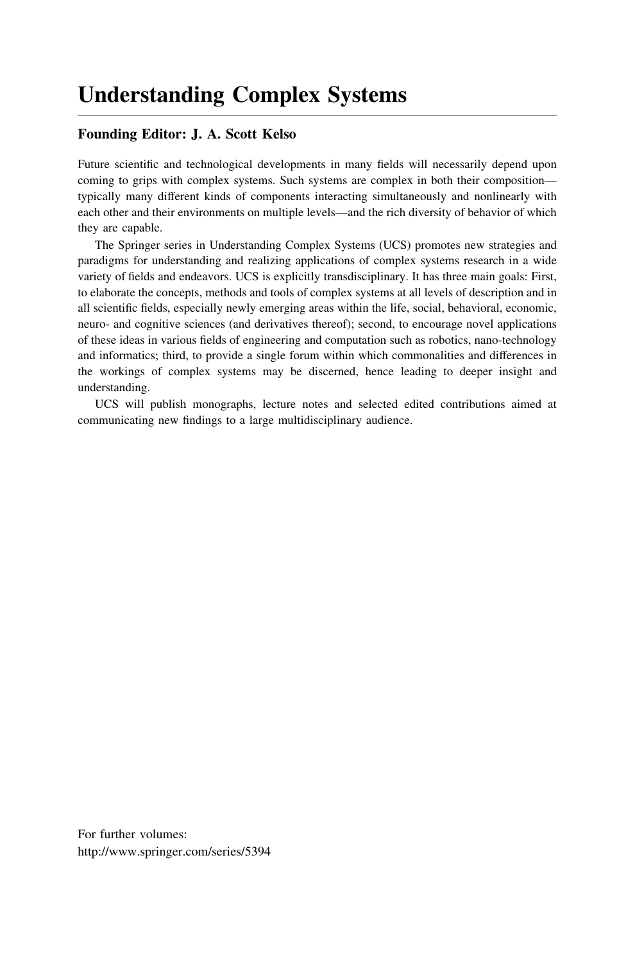# Understanding Complex Systems

### Founding Editor: J. A. Scott Kelso

Future scientific and technological developments in many fields will necessarily depend upon coming to grips with complex systems. Such systems are complex in both their composition typically many different kinds of components interacting simultaneously and nonlinearly with each other and their environments on multiple levels—and the rich diversity of behavior of which they are capable.

The Springer series in Understanding Complex Systems (UCS) promotes new strategies and paradigms for understanding and realizing applications of complex systems research in a wide variety of fields and endeavors. UCS is explicitly transdisciplinary. It has three main goals: First, to elaborate the concepts, methods and tools of complex systems at all levels of description and in all scientific fields, especially newly emerging areas within the life, social, behavioral, economic, neuro- and cognitive sciences (and derivatives thereof); second, to encourage novel applications of these ideas in various fields of engineering and computation such as robotics, nano-technology and informatics; third, to provide a single forum within which commonalities and differences in the workings of complex systems may be discerned, hence leading to deeper insight and understanding.

UCS will publish monographs, lecture notes and selected edited contributions aimed at communicating new findings to a large multidisciplinary audience.

For further volumes: <http://www.springer.com/series/5394>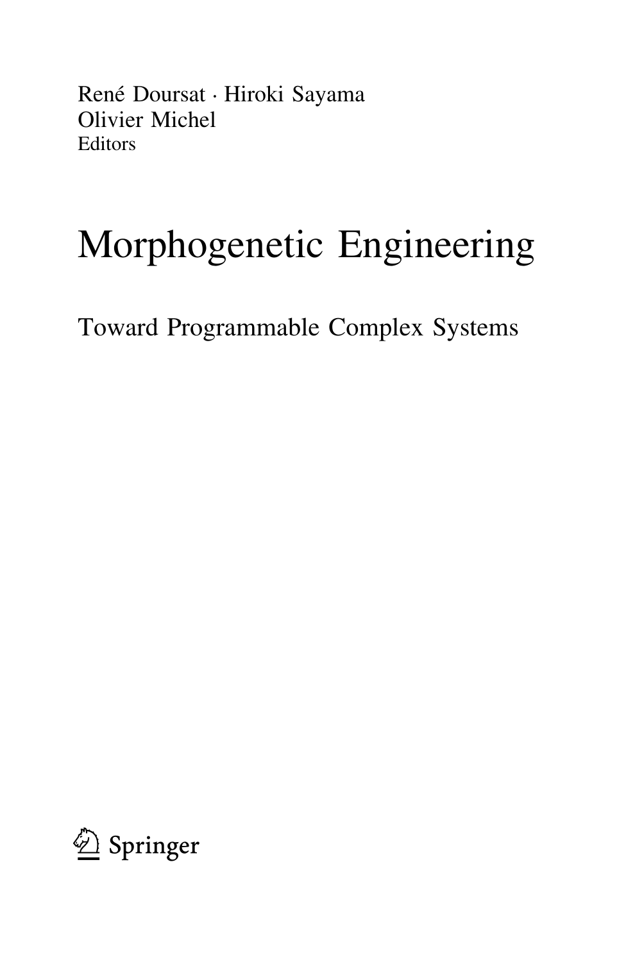René Doursat • Hiroki Sayama Olivier Michel Editors

# Morphogenetic Engineering

Toward Programmable Complex Systems

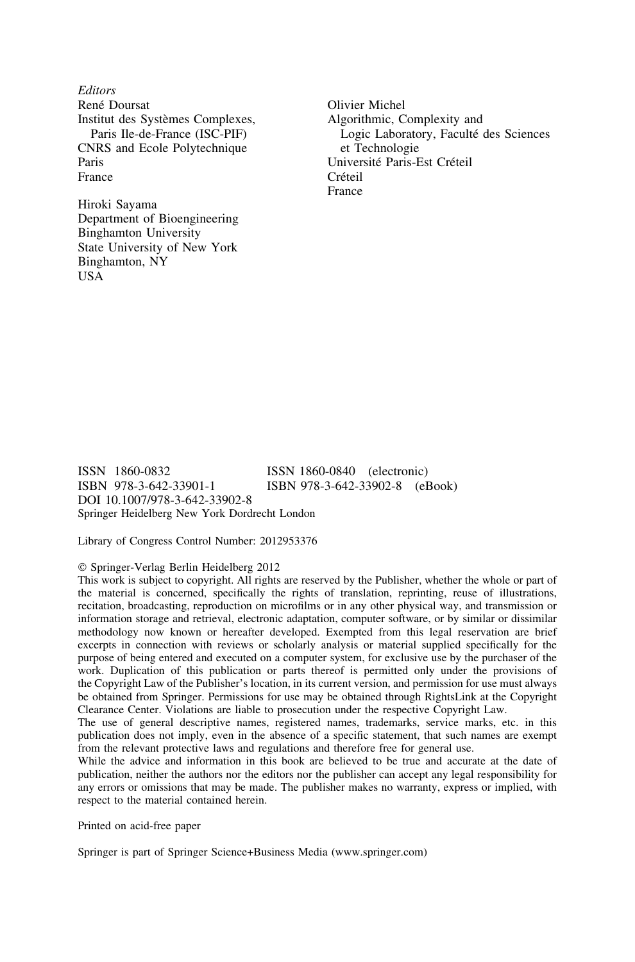**Editors** René Doursat Institut des Systèmes Complexes, Paris Ile-de-France (ISC-PIF) CNRS and Ecole Polytechnique Paris France

Hiroki Sayama Department of Bioengineering Binghamton University State University of New York Binghamton, NY USA

Olivier Michel Algorithmic, Complexity and Logic Laboratory, Faculté des Sciences et Technologie Université Paris-Est Créteil Créteil France

ISSN 1860-0832<br>ISSN 978-3-642-33901-1<br>ISBN 978-3-642-33902-8 (eE ISBN 978-3-642-33902-8 (eBook) DOI 10.1007/978-3-642-33902-8 Springer Heidelberg New York Dordrecht London

Library of Congress Control Number: 2012953376

#### - Springer-Verlag Berlin Heidelberg 2012

This work is subject to copyright. All rights are reserved by the Publisher, whether the whole or part of the material is concerned, specifically the rights of translation, reprinting, reuse of illustrations, recitation, broadcasting, reproduction on microfilms or in any other physical way, and transmission or information storage and retrieval, electronic adaptation, computer software, or by similar or dissimilar methodology now known or hereafter developed. Exempted from this legal reservation are brief excerpts in connection with reviews or scholarly analysis or material supplied specifically for the purpose of being entered and executed on a computer system, for exclusive use by the purchaser of the work. Duplication of this publication or parts thereof is permitted only under the provisions of the Copyright Law of the Publisher's location, in its current version, and permission for use must always be obtained from Springer. Permissions for use may be obtained through RightsLink at the Copyright Clearance Center. Violations are liable to prosecution under the respective Copyright Law.

The use of general descriptive names, registered names, trademarks, service marks, etc. in this publication does not imply, even in the absence of a specific statement, that such names are exempt from the relevant protective laws and regulations and therefore free for general use.

While the advice and information in this book are believed to be true and accurate at the date of publication, neither the authors nor the editors nor the publisher can accept any legal responsibility for any errors or omissions that may be made. The publisher makes no warranty, express or implied, with respect to the material contained herein.

Printed on acid-free paper

Springer is part of Springer Science+Business Media (www.springer.com)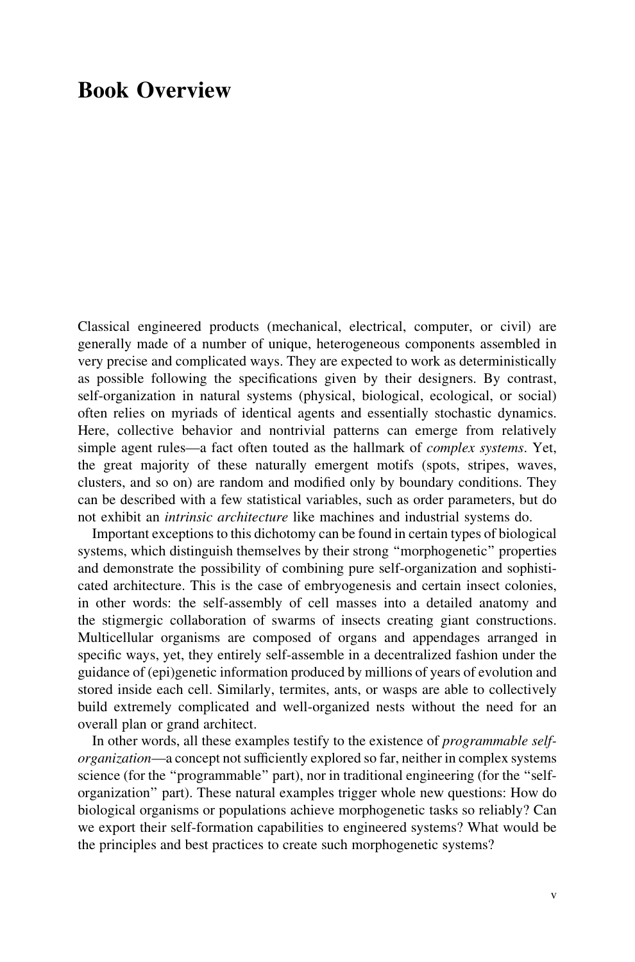## Book Overview

Classical engineered products (mechanical, electrical, computer, or civil) are generally made of a number of unique, heterogeneous components assembled in very precise and complicated ways. They are expected to work as deterministically as possible following the specifications given by their designers. By contrast, self-organization in natural systems (physical, biological, ecological, or social) often relies on myriads of identical agents and essentially stochastic dynamics. Here, collective behavior and nontrivial patterns can emerge from relatively simple agent rules—a fact often touted as the hallmark of complex systems. Yet, the great majority of these naturally emergent motifs (spots, stripes, waves, clusters, and so on) are random and modified only by boundary conditions. They can be described with a few statistical variables, such as order parameters, but do not exhibit an intrinsic architecture like machines and industrial systems do.

Important exceptions to this dichotomy can be found in certain types of biological systems, which distinguish themselves by their strong ''morphogenetic'' properties and demonstrate the possibility of combining pure self-organization and sophisticated architecture. This is the case of embryogenesis and certain insect colonies, in other words: the self-assembly of cell masses into a detailed anatomy and the stigmergic collaboration of swarms of insects creating giant constructions. Multicellular organisms are composed of organs and appendages arranged in specific ways, yet, they entirely self-assemble in a decentralized fashion under the guidance of (epi)genetic information produced by millions of years of evolution and stored inside each cell. Similarly, termites, ants, or wasps are able to collectively build extremely complicated and well-organized nests without the need for an overall plan or grand architect.

In other words, all these examples testify to the existence of programmable selforganization—a concept not sufficiently explored so far, neither in complex systems science (for the "programmable" part), nor in traditional engineering (for the "selforganization'' part). These natural examples trigger whole new questions: How do biological organisms or populations achieve morphogenetic tasks so reliably? Can we export their self-formation capabilities to engineered systems? What would be the principles and best practices to create such morphogenetic systems?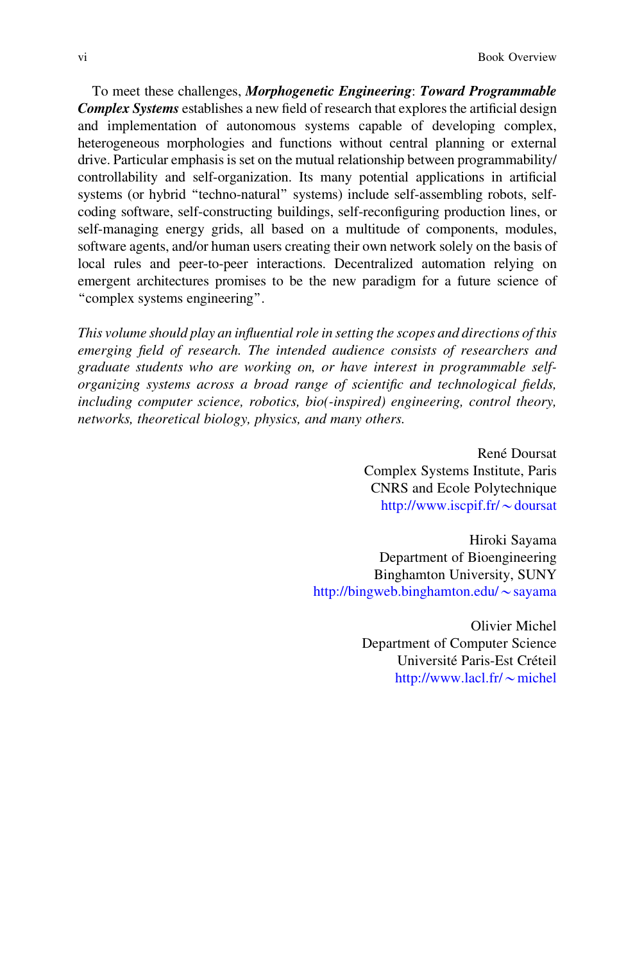To meet these challenges, Morphogenetic Engineering: Toward Programmable **Complex Systems** establishes a new field of research that explores the artificial design and implementation of autonomous systems capable of developing complex, heterogeneous morphologies and functions without central planning or external drive. Particular emphasis is set on the mutual relationship between programmability/ controllability and self-organization. Its many potential applications in artificial systems (or hybrid ''techno-natural'' systems) include self-assembling robots, selfcoding software, self-constructing buildings, self-reconfiguring production lines, or self-managing energy grids, all based on a multitude of components, modules, software agents, and/or human users creating their own network solely on the basis of local rules and peer-to-peer interactions. Decentralized automation relying on emergent architectures promises to be the new paradigm for a future science of ''complex systems engineering''.

This volume should play an influential role in setting the scopes and directions of this emerging field of research. The intended audience consists of researchers and graduate students who are working on, or have interest in programmable selforganizing systems across a broad range of scientific and technological fields, including computer science, robotics, bio(-inspired) engineering, control theory, networks, theoretical biology, physics, and many others.

> René Doursat Complex Systems Institute, Paris CNRS and Ecole Polytechnique [http://www.iscpif.fr/](http://www.iscpif.fr/~doursat) $\sim$ doursat

Hiroki Sayama Department of Bioengineering Binghamton University, SUNY [http://bingweb.binghamton.edu/](http://bingweb.binghamton.edu/~sayama) $\sim$ sayama

> Olivier Michel Department of Computer Science Université Paris-Est Créteil [http://www.lacl.fr/](http://www.lacl.fr/~michel) $\sim$ michel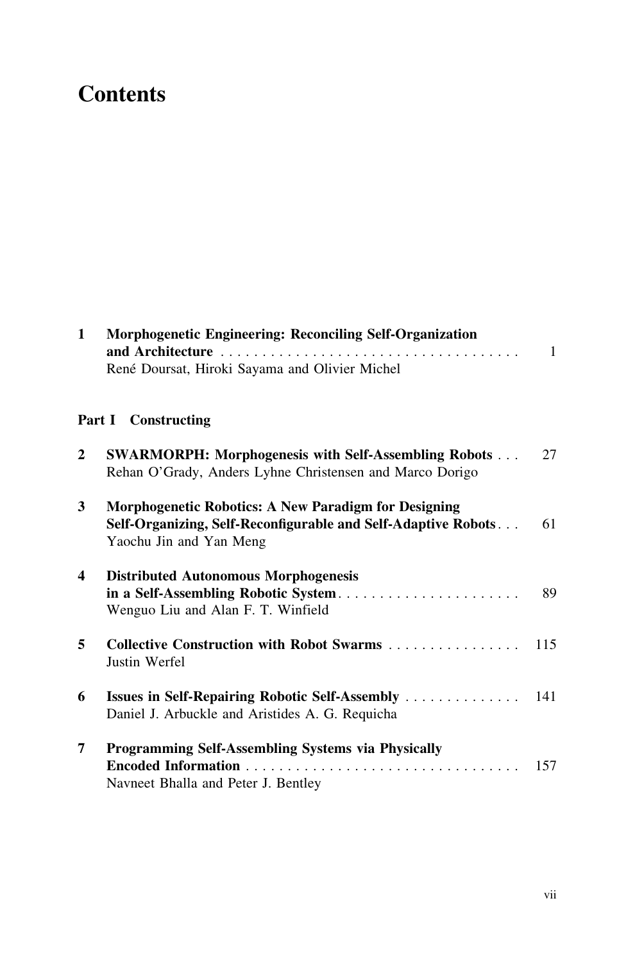# **Contents**

| 1              | Morphogenetic Engineering: Reconciling Self-Organization                                                                                         | 1   |
|----------------|--------------------------------------------------------------------------------------------------------------------------------------------------|-----|
|                | René Doursat, Hiroki Sayama and Olivier Michel                                                                                                   |     |
|                | <b>Part I</b> Constructing                                                                                                                       |     |
| $\overline{2}$ | <b>SWARMORPH: Morphogenesis with Self-Assembling Robots</b><br>Rehan O'Grady, Anders Lyhne Christensen and Marco Dorigo                          | 27  |
| 3              | Morphogenetic Robotics: A New Paradigm for Designing<br>Self-Organizing, Self-Reconfigurable and Self-Adaptive Robots<br>Yaochu Jin and Yan Meng | 61  |
| 4              | <b>Distributed Autonomous Morphogenesis</b><br>in a Self-Assembling Robotic System<br>Wenguo Liu and Alan F. T. Winfield                         | 89  |
| 5              | Collective Construction with Robot Swarms<br>Justin Werfel                                                                                       | 115 |
| 6              | Issues in Self-Repairing Robotic Self-Assembly<br>Daniel J. Arbuckle and Aristides A. G. Requicha                                                | 141 |
| 7              | Programming Self-Assembling Systems via Physically<br>Navneet Bhalla and Peter J. Bentley                                                        | 157 |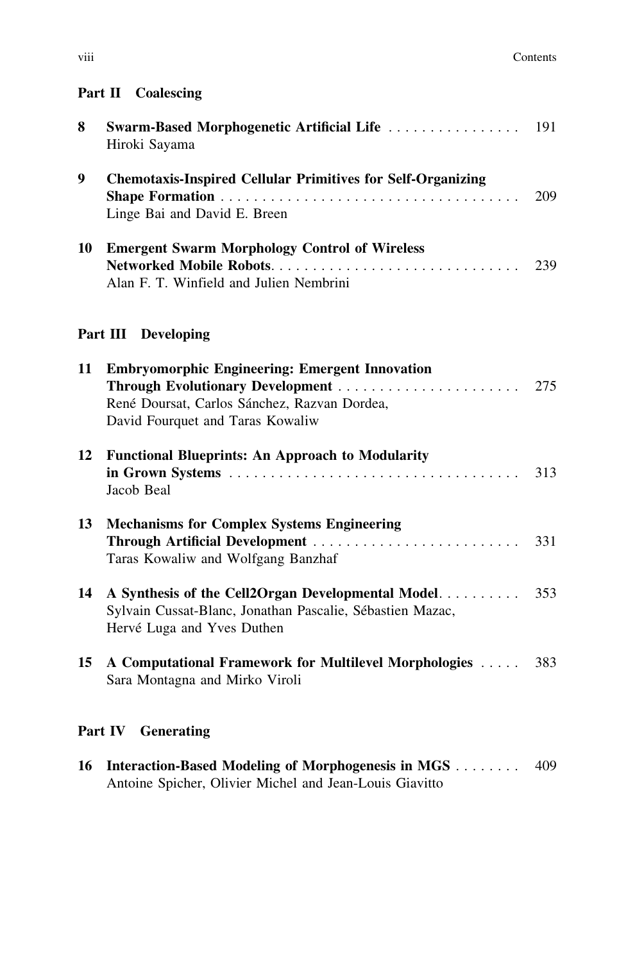## Part II Coalescing

| 8  | Swarm-Based Morphogenetic Artificial Life  191<br>Hiroki Sayama                                    |     |
|----|----------------------------------------------------------------------------------------------------|-----|
| 9  | <b>Chemotaxis-Inspired Cellular Primitives for Self-Organizing</b><br>Linge Bai and David E. Breen | 209 |
| 10 | <b>Emergent Swarm Morphology Control of Wireless</b><br>Alan F. T. Winfield and Julien Nembrini    |     |

## Part III Developing

| 11 | <b>Embryomorphic Engineering: Emergent Innovation</b><br>René Doursat, Carlos Sánchez, Razvan Dordea,<br>David Fourquet and Taras Kowaliw                                    |     |
|----|------------------------------------------------------------------------------------------------------------------------------------------------------------------------------|-----|
| 12 | <b>Functional Blueprints: An Approach to Modularity</b><br>in Grown Systems $\ldots \ldots \ldots \ldots \ldots \ldots \ldots \ldots \ldots \ldots \ldots$ 313<br>Jacob Beal |     |
| 13 | <b>Mechanisms for Complex Systems Engineering</b><br>Through Artificial Development<br>Taras Kowaliw and Wolfgang Banzhaf                                                    | 331 |
| 14 | Sylvain Cussat-Blanc, Jonathan Pascalie, Sébastien Mazac,<br>Hervé Luga and Yves Duthen                                                                                      |     |
| 15 | A Computational Framework for Multilevel Morphologies<br>Sara Montagna and Mirko Viroli                                                                                      | 383 |
|    | <b>Part IV</b> Generating                                                                                                                                                    |     |

[16 Interaction-Based Modeling of Morphogenesis in MGS](http://dx.doi.org/10.1007/978-3-642-33902-8_16) . . . . . . . . 409 Antoine Spicher, Olivier Michel and Jean-Louis Giavitto